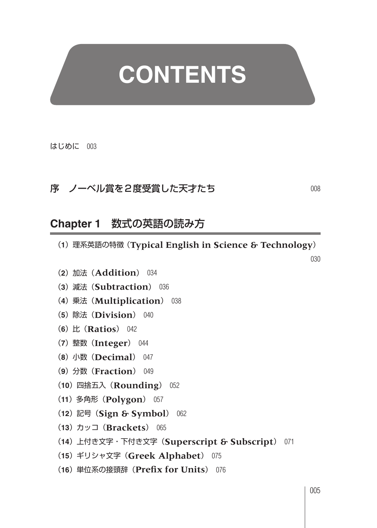## **CONTENTS**

はじめに 003

## 序 ノーベル賞を2度受賞した天才たち 008

**Chapter 1** 数式の英語の読み方

- (**1**)理系英語の特徴(**Typical English in Science & Technology**)
- (**2**)加法(**Addition**) 034
- (**3**)減法(**Subtraction**) 036
- (**4**)乗法(**Multiplication**) 038
- (**5**)除法(**Division**) 040
- (**6**)比(**Ratios**) 042
- (**7**)整数(**Integer**) 044
- (**8**)小数(**Decimal**) 047
- (**9**)分数(**Fraction**) 049
- (**10**)四捨五入(**Rounding**) 052
- (**11**)多角形(**Polygon**) 057
- (**12**)記号(**Sign & Symbol**) 062
- (**13**)カッコ(**Brackets**) 065
- (**14**)上付き文字・下付き文字(**Superscript & Subscript**) 071
- (**15**)ギリシャ文字(**Greek Alphabet**) 075
- (**16**)単位系の接頭辞(**Prefix for Units**) 076

030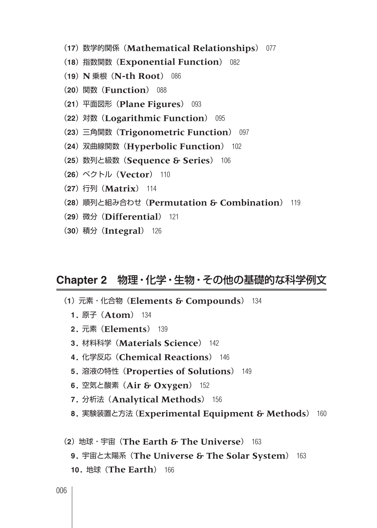- (**17**)数学的関係(**Mathematical Relationships**) 077
- (**18**)指数関数(**Exponential Function**) 082
- (**19**) **N** 乗根(**N-th Root**) 086
- (**20**)関数(**Function**) 088
- (**21**)平面図形(**Plane Figures**) 093
- (**22**)対数(**Logarithmic Function**) 095
- (**23**)三角関数(**Trigonometric Function**) 097
- (**24**)双曲線関数(**Hyperbolic Function**) 102
- (**25**)数列と級数(**Sequence & Series**) 106
- (**26**)ベクトル(**Vector**) 110
- (**27**)行列(**Matrix**) 114
- (**28**)順列と組み合わせ(**Permutation & Combination**) 119
- (**29**)微分(**Differential**) 121
- (**30**)積分(**Integral**) 126

## **Chapter 2** 物理・化学・生物・その他の基礎的な科学例文

- (**1**)元素・化合物(**Elements & Compounds**) 134
	- **1.** 原子(**Atom**) 134
	- **2.** 元素(**Elements**) 139
	- **3.** 材料科学(**Materials Science**) 142
	- **4.** 化学反応(**Chemical Reactions**) 146
	- **5.** 溶液の特性(**Properties of Solutions**) 149
	- **6.** 空気と酸素(**Air & Oxygen**) 152
	- **7.** 分析法(**Analytical Methods**) 156
	- **8.** 実験装置と方法(**Experimental Equipment & Methods**) 160
- (**2**)地球・宇宙(**The Earth & The Universe**) 163
	- **9.** 宇宙と太陽系(**The Universe & The Solar System**) 163
	- **10.** 地球(**The Earth**) 166